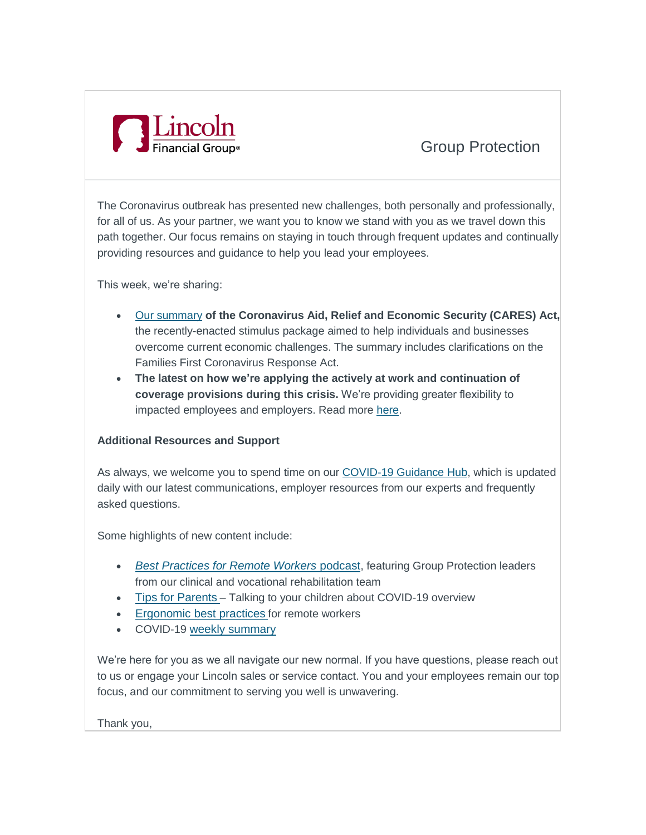

## Group Protection

The Coronavirus outbreak has presented new challenges, both personally and professionally, for all of us. As your partner, we want you to know we stand with you as we travel down this path together. Our focus remains on staying in touch through frequent updates and continually providing resources and guidance to help you lead your employees.

This week, we're sharing:

- [Our summary](https://img04.en25.com/Web/LincolnGroupProtection/%7Bec86ffdf-4eb9-40fd-9f65-2d531c1156c1%7D_CARES_Act_Summary_04_09_20.pdf) **of the Coronavirus Aid, Relief and Economic Security (CARES) Act,** the recently-enacted stimulus package aimed to help individuals and businesses overcome current economic challenges. The summary includes clarifications on the Families First Coronavirus Response Act.
- **The latest on how we're applying the actively at work and continuation of coverage provisions during this crisis.** We're providing greater flexibility to impacted employees and employers. Read more [here.](https://img04.en25.com/Web/LincolnGroupProtection/%7B3a46f351-9888-4743-b14f-37da5f601165%7D_Continuation_and_Grace_Period_04_09_20_v2.pdf)

## **Additional Resources and Support**

As always, we welcome you to spend time on our [COVID-19 Guidance Hub,](https://www.lfg.com/public/COVID-19/EmployeeBenefits?d=Desktop&elqTrackId=cf804103dd05493f9f526112c1c7b4b6&elq=12b312e2e7c840f4b29c4001d7a26ba1&elqaid=590&elqat=1&elqCampaignId=) which is updated daily with our latest communications, employer resources from our experts and frequently asked questions.

Some highlights of new content include:

- *[Best Practices for Remote Workers](https://www.buzzsprout.com/847582/3146815?elqTrackId=f7eee226c24f4b9e8c815214ab1050d2&elq=12b312e2e7c840f4b29c4001d7a26ba1&elqaid=590&elqat=1&elqCampaignId=)* podcast, featuring Group Protection leaders from our clinical and vocational rehabilitation team
- [Tips for Parents](https://www.lfg.com/wcs-static/pdf/COVID-19%20-%20Talking%20to%20your%20kids%20-%20PDF.pdf?elqTrackId=3beb974532a549fd90d47432da4b13e7&elq=12b312e2e7c840f4b29c4001d7a26ba1&elqaid=590&elqat=1&elqCampaignId=) Talking to your children about COVID-19 overview
- [Ergonomic best practices](https://www.lfg.com/wcs-static/pdf/COVID-19%20-%20Ergonomic%20best%20practices%20-%20PDF.pdf?elqTrackId=22a4af610a174864a72fbf7e82f624ce&elq=12b312e2e7c840f4b29c4001d7a26ba1&elqaid=590&elqat=1&elqCampaignId=) for remote workers
- COVID-19 [weekly summary](https://www.lfg.com/wcs-static/pdf/COVID-19%20-%20weekly%20summary%204-8-20%20-%20PDF.pdf?elqTrackId=b77f04a4cdda44e48f38e10a050aab1c&elq=12b312e2e7c840f4b29c4001d7a26ba1&elqaid=590&elqat=1&elqCampaignId=)

We're here for you as we all navigate our new normal. If you have questions, please reach out to us or engage your Lincoln sales or service contact. You and your employees remain our top focus, and our commitment to serving you well is unwavering.

Thank you,